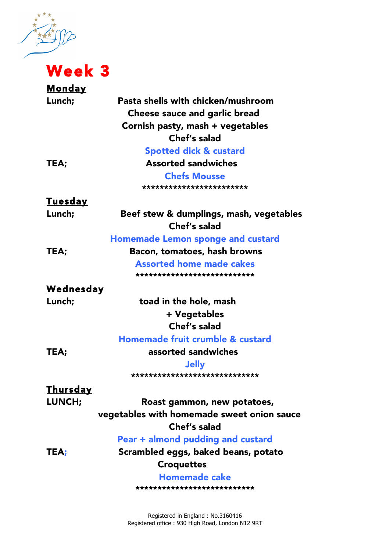大地

## $\overrightarrow{O}$  Week 3

| <u>Monday</u>    |                                            |
|------------------|--------------------------------------------|
| Lunch;           | Pasta shells with chicken/mushroom         |
|                  | <b>Cheese sauce and garlic bread</b>       |
|                  | Cornish pasty, mash + vegetables           |
|                  | Chef's salad                               |
|                  | <b>Spotted dick &amp; custard</b>          |
| TEA;             | <b>Assorted sandwiches</b>                 |
|                  | <b>Chefs Mousse</b>                        |
|                  | ************************                   |
| <u>Tuesday</u>   |                                            |
| Lunch;           | Beef stew & dumplings, mash, vegetables    |
|                  | Chef's salad                               |
|                  | <b>Homemade Lemon sponge and custard</b>   |
| TEA;             | Bacon, tomatoes, hash browns               |
|                  | <b>Assorted home made cakes</b>            |
|                  | ***************************                |
| <u>Wednesday</u> |                                            |
| Lunch;           | toad in the hole, mash                     |
|                  | + Vegetables                               |
|                  | Chef's salad                               |
|                  | Homemade fruit crumble & custard           |
| TEA;             | assorted sandwiches                        |
|                  | <b>Jelly</b>                               |
|                  | ******************************             |
| <u>Thursday</u>  |                                            |
| LUNCH;           | Roast gammon, new potatoes,                |
|                  | vegetables with homemade sweet onion sauce |
|                  | Chef's salad                               |
|                  | Pear + almond pudding and custard          |
| TEA;             | Scrambled eggs, baked beans, potato        |
|                  | <b>Croquettes</b>                          |
|                  | <b>Homemade cake</b>                       |
|                  | ****************************               |